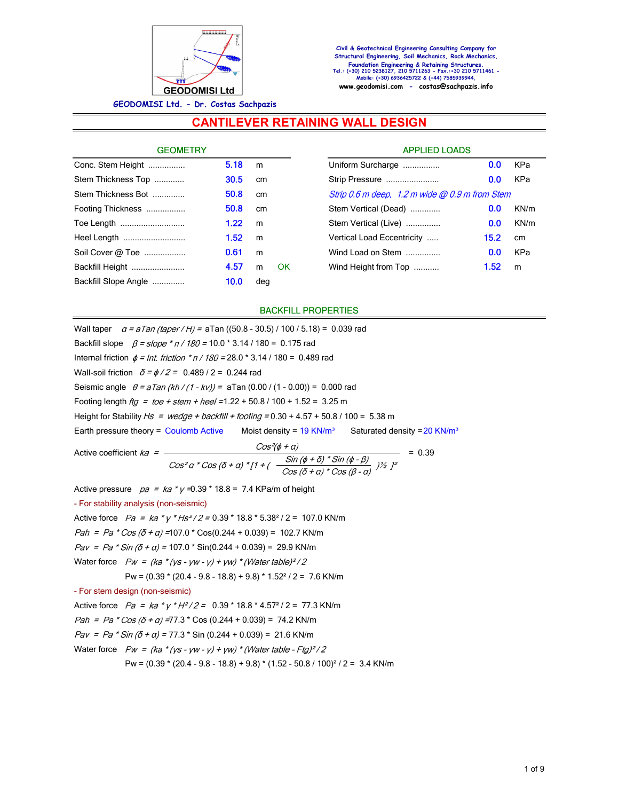

# **CANTILEVER RETAINING WALL DESIGN**

| <b>GEOMETRY</b>      |      |     |    |
|----------------------|------|-----|----|
| Conc. Stem Height    | 5.18 | m   |    |
| Stem Thickness Top   | 30.5 | cm  |    |
| Stem Thickness Bot   | 50.8 | cm  |    |
| Footing Thickness    | 50.8 | cm  |    |
| Toe Length           | 1.22 | m   |    |
| Heel Length          | 1.52 | m   |    |
| Soil Cover @ Toe     | 0.61 | m   |    |
| Backfill Height      | 4.57 | m   | ΩK |
| Backfill Slope Angle | 10.0 | deg |    |

| <b>APPLIED LOADS</b>                                 |      |      |
|------------------------------------------------------|------|------|
| 0.0<br>KPa<br>Uniform Surcharge                      |      |      |
| Strip Pressure                                       | 0.0  | KPa  |
| Strip $0.6$ m deep, $1.2$ m wide $@$ 0.9 m from Stem |      |      |
| Stem Vertical (Dead)                                 | 0.0  | KN/m |
| Stem Vertical (Live)                                 | 0.0  | KN/m |
| Vertical Load Eccentricity                           | 15.2 | cm   |
| Wind Load on Stem                                    | 0.0  | KPa  |
| Wind Height from Top                                 | 1.52 | m    |
|                                                      |      |      |

#### **BACKFILL PROPERTIES**

Wall taper  $a = aTan (taper / H) = aTan ((50.8 - 30.5) / 100 / 5.18) = 0.039 rad$ Backfill slope  $\beta = slope * \pi / 180 = 10.0 * 3.14 / 180 = 0.175$  rad Internal friction  $\phi = Int.$  friction  $* \pi / 180 = 28.0 * 3.14 / 180 = 0.489$  rad Wall-soil friction  $\delta = \phi/2 = 0.489 / 2 = 0.244$  rad Seismic angle  $\theta = aTan (kh/(1 - kv)) = aTan (0.00/(1 - 0.00)) = 0.000$  rad Footing length  $fig = toe + stem + heel = 1.22 + 50.8 / 100 + 1.52 = 3.25 m$ Height for Stability  $Hs = wedge + backfill + footing = 0.30 + 4.57 + 50.8 / 100 = 5.38 m$ Earth pressure theory = Coulomb Active Moist density =  $19$  KN/m<sup>3</sup> Saturated density =  $20$  KN/m<sup>3</sup> Active coefficient  $ka = \frac{Cos^2(\phi + a)}{Cos^2 a * Cos (\bar{b} + a) * [1 + (-\frac{Sin (\phi + \bar{b}) * Sin (\phi - \beta)}{Cos (\bar{b} + a) * Cos (\beta - a)})/{2}]} = 0.39$ Active pressure  $pa = ka * y = 0.39 * 18.8 = 7.4$  KPa/m of height - For stability analysis (non-seismic) Active force  $Pa = ka * \gamma * Hs^2 / 2 = 0.39 * 18.8 * 5.38^2 / 2 = 107.0$  KN/m  $Pah = Pa * Cos (\delta + a) = 107.0 * Cos(0.244 + 0.039) = 102.7$  KN/m  $Pav = Pa * Sin (\delta + a) = 107.0 * Sin(0.244 + 0.039) = 29.9$  KN/m Water force  $Pw = (ka * (ys - yw - y) + yw) * (Water table)^2/2$ Pw =  $(0.39 * (20.4 - 9.8 - 18.8) + 9.8) * 1.52<sup>2</sup> / 2 = 7.6$  KN/m - For stem design (non-seismic) Active force  $Pa = ka * \gamma * H^2/2 = 0.39 * 18.8 * 4.57 * 12 = 77.3$  KN/m Pah = Pa  $^*$  Cos ( $\delta$  + a) = 77.3  $^*$  Cos (0.244 + 0.039) = 74.2 KN/m

Pav = Pa \* Sin ( $\delta$  +  $\alpha$ ) = 77.3 \* Sin (0.244 + 0.039) = 21.6 KN/m Water force  $Pw = (ka * (vs - vw - v) + vw) * (Water table - Fta)^2/2$ 

$$
10000 \times 10000 \times 10000 \times 10000 \times 10000 \times 10000 \times 10000 \times 10000
$$

Pw =  $(0.39 * (20.4 - 9.8 - 18.8) + 9.8) * (1.52 - 50.8 / 100)^{2} / 2 = 3.4$  KN/m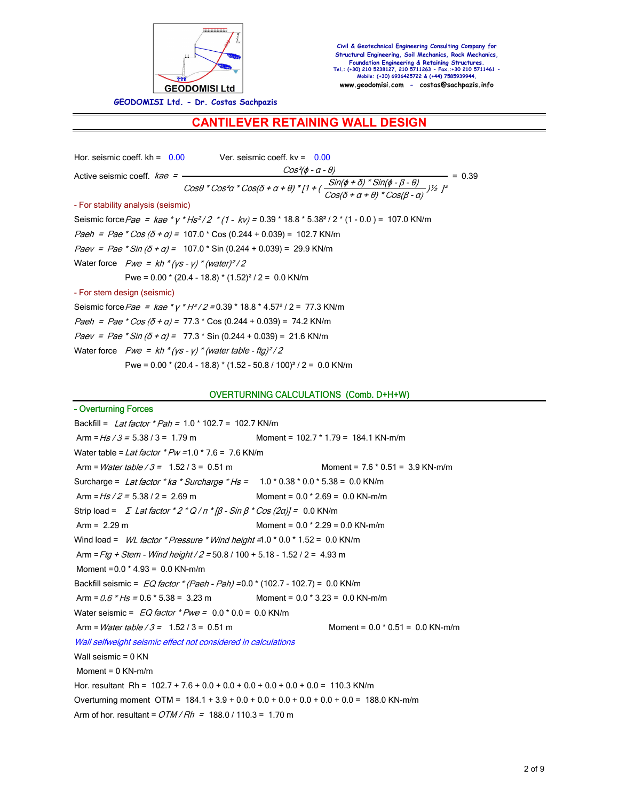

**GEODOMISI Ltd. - Dr. Costas Sachpazis**

## **CANTILEVER RETAINING WALL DESIGN**

Hor. seismic coeff.  $kh = 0.00$  Ver. seismic coeff.  $kv = 0.00$ Active seismic coeff.  $kae = \frac{Cos^{2}(\phi - a - \theta)}{Cos\theta * Cos^{2}a * Cos(\delta + a + \theta) * [1 + (\frac{Sin(\phi + \delta) * Sin(\phi - \beta - \theta)}{Cos(\delta + a + \theta) * Cos(\beta - a)})]^{2}} = 0.39$  $\frac{1}{2}$  /2 - For stability analysis (seismic) Seismic force Pae =  $kae * y * Hs^2/2 * (1 - kv) = 0.39 * 18.8 * 5.38 * (2 * (1 - 0.0) = 107.0$  KN/m Paeh = Pae \* Cos ( $\delta$  +  $\alpha$ ) = 107.0 \* Cos (0.244 + 0.039) = 102.7 KN/m  $Paev = Pae * Sin (\delta + a) = 107.0 * Sin (0.244 + 0.039) = 29.9$  KN/m Water force  $Pwe = kh * (ys - y) * (water)^2/2$ Pwe =  $0.00 * (20.4 - 18.8) * (1.52)^{2} / 2 = 0.0$  KN/m - For stem design (seismic) Seismic force Pae =  $kae * \gamma * H^2/2 = 0.39 * 18.8 * 4.57 * 12 = 77.3$  KN/m

Paeh = Pae \* Cos ( $\delta$  + a) = 77.3 \* Cos (0.244 + 0.039) = 74.2 KN/m

Paev = Pae \* Sin  $(\delta + a)$  = 77.3 \* Sin (0.244 + 0.039) = 21.6 KN/m

Water force  $Pwe = kh * (ys - y) * (water table - ftg)^2/2$ 

Pwe = 0.00 \* (20.4 - 18.8) \* (1.52 - 50.8 / 100)² / 2 = 0.0 KN/m

#### OVERTURNING CALCULATIONS (Comb. D+H+W)

- Overturning Forces Backfill = Lat factor \* Pah =  $1.0$  \* 102.7 = 102.7 KN/m Arm =  $Hs/3$  = 5.38 / 3 = 1.79 m Moment = 102.7 \* 1.79 = 184.1 KN-m/m Water table = Lat factor  $*Pw = 1.0 * 7.6 = 7.6$  KN/m Arm =  $Water table / 3 = 1.52 / 3 = 0.51 m$  Moment = 7.6 \* 0.51 = 3.9 KN-m/m Surcharge = Lat factor \* ka \* Surcharge \* Hs =  $1.0$  \* 0.38 \* 0.0 \* 5.38 = 0.0 KN/m Arm =  $Hs/2$  = 5.38 / 2 = 2.69 m Moment = 0.0 \* 2.69 = 0.0 KN-m/m Strip load =  $\sum$  Lat factor \* 2 \* Q /  $\pi$  \* [ $\beta$  - Sin  $\beta$  \* Cos (2a)] = 0.0 KN/m Arm = 2.29 m Moment = 0.0 \* 2.29 = 0.0 KN-m/m Wind load =  $WL$  factor \* Pressure \* Wind height = 1.0 \* 0.0 \* 1.52 = 0.0 KN/m Arm = Ftg + Stem - Wind height /  $2 = 50.8$  / 100 + 5.18 - 1.52 / 2 = 4.93 m Moment =0.0 \* 4.93 = 0.0 KN-m/m Backfill seismic =  $EQ$  factor  $*(Paeh - Pah) = 0.0 * (102.7 - 102.7) = 0.0$  KN/m Arm =  $0.6 * Hs = 0.6 * 5.38 = 3.23$  m Moment =  $0.0 * 3.23 = 0.0$  KN-m/m Water seismic =  $EQ$  factor  $*Pwe = 0.0 * 0.0 = 0.0$  KN/m Arm =  $Water table / 3 = 1.52 / 3 = 0.51 m$  Moment =  $0.0 * 0.51 = 0.0 kN-m/m$ Wall selfweight seismic effect not considered in calculations Wall seismic = 0 KN  $Moment = 0$  KN-m/m Hor. resultant Rh = 102.7 + 7.6 + 0.0 + 0.0 + 0.0 + 0.0 + 0.0 + 0.0 = 110.3 KN/m Overturning moment OTM =  $184.1 + 3.9 + 0.0 + 0.0 + 0.0 + 0.0 + 0.0 + 0.0 = 188.0$  KN-m/m Arm of hor. resultant =  $OTM/Rh = 188.0 / 110.3 = 1.70$  m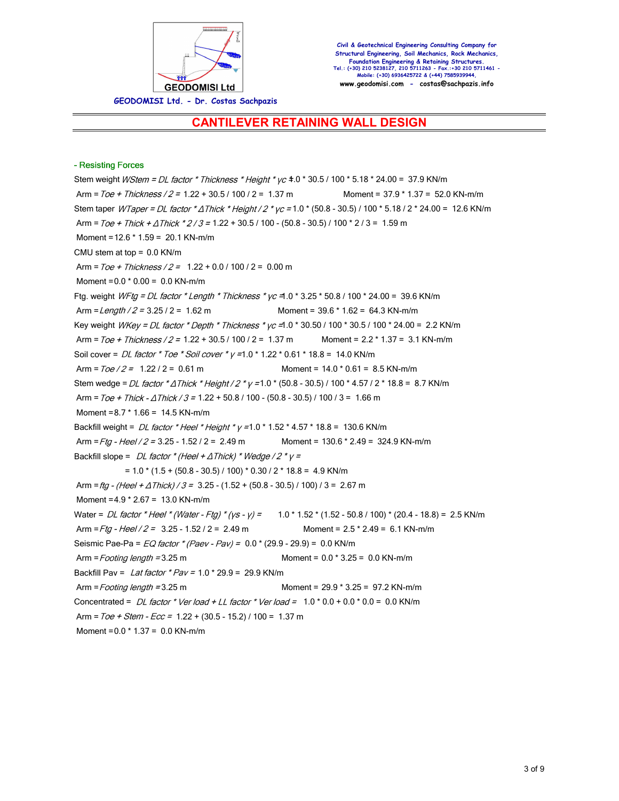

## **CANTILEVER RETAINING WALL DESIGN**

#### - Resisting Forces

Stem weight *WStem = DL factor \* Thickness \* Height \* yc*  $\pm$ .0 \* 30.5 / 100 \* 5.18 \* 24.00 = 37.9 KN/m Arm =  $Toe + Thichness / 2 = 1.22 + 30.5 / 100 / 2 = 1.37$  m Moment =  $37.9 * 1.37 = 52.0$  KN-m/m Stem taper WTaper = DL factor \*  $\Delta$ Thick \* Height / 2 \* yc = 1.0 \* (50.8 - 30.5) / 100 \* 5.18 / 2 \* 24.00 = 12.6 KN/m Arm =  $Toe + Thick + \Delta Thick * 2/3 = 1.22 + 30.5 / 100 - (50.8 - 30.5) / 100 * 2/3 = 1.59$  m Moment =12.6 \* 1.59 = 20.1 KN-m/m CMU stem at top = 0.0 KN/m Arm =  $\text{Toe} + \text{Thickness} / 2 = 1.22 + 0.0 / 100 / 2 = 0.00 \text{ m}$ Moment =  $0.0 * 0.00 = 0.0$  KN-m/m Ftg. weight  $WFig = DL$  factor \* Length \* Thickness \*  $yc = 1.0$  \* 3.25 \* 50.8 / 100 \* 24.00 = 39.6 KN/m Arm =  $Length / 2 = 3.25 / 2 = 1.62$  m Moment =  $39.6 * 1.62 = 64.3$  KN-m/m Key weight  $WKey = DL$  factor \* Depth \* Thickness \*  $yc = 1.0$  \* 30.50 / 100 \* 30.5 / 100 \* 24.00 = 2.2 KN/m Arm =  $Toe + Thichness / 2 = 1.22 + 30.5 / 100 / 2 = 1.37 m$  Moment =  $2.2 * 1.37 = 3.1$  KN-m/m Soil cover =  $DL$  factor \* Toe \* Soil cover \*  $y = 1.0$  \* 1.22 \* 0.61 \* 18.8 = 14.0 KN/m Arm =  $70e/2 = 1.22/2 = 0.61$  m Moment =  $14.0 * 0.61 = 8.5$  KN-m/m Stem wedge = DL factor \*  $\triangle$  Thick \* Height / 2 \*  $\gamma$  = 1.0 \* (50.8 - 30.5) / 100 \* 4.57 / 2 \* 18.8 = 8.7 KN/m Arm =  $Toe + Thick - \Delta Thick / 3 = 1.22 + 50.8 / 100 - (50.8 - 30.5) / 100 / 3 = 1.66$  m Moment =8.7 \* 1.66 = 14.5 KN-m/m Backfill weight = DL factor \* Heel \* Height \*  $\gamma$  =1.0 \* 1.52 \* 4.57 \* 18.8 = 130.6 KN/m Arm =  $Ftg - Heel / 2 = 3.25 - 1.52 / 2 = 2.49$  m Moment = 130.6 \* 2.49 = 324.9 KN-m/m Backfill slope =  $DL$  factor \* (Heel +  $\triangle Thick$ ) \* Wedge / 2 \*  $y =$  $= 1.0 * (1.5 + (50.8 - 30.5) / 100) * 0.30 / 2 * 18.8 = 4.9$  KN/m Arm = ftg - (Heel +  $\triangle Thick$ ) / 3 = 3.25 - (1.52 + (50.8 - 30.5) / 100) / 3 = 2.67 m Moment =4.9 \* 2.67 = 13.0 KN-m/m Water = *DL factor \* Heel \* (Water - Ftg) \* (ys - y)* =  $1.0$  \* 1.52 \* (1.52 - 50.8 / 100) \* (20.4 - 18.8) = 2.5 KN/m Arm =  $Fig - Heel / 2 = 3.25 - 1.52 / 2 = 2.49$  m Moment =  $2.5 * 2.49 = 6.1$  KN-m/m Seismic Pae-Pa =  $EQ$  factor  $*(Paev - Pav) = 0.0 * (29.9 - 29.9) = 0.0$  KN/m Arm  $=$  Footing length  $=$  3.25 m Moment =  $0.0 \times 3.25 = 0.0 \text{ KN-m/m}$ Backfill Pav = Lat factor \* Pav =  $1.0$  \* 29.9 = 29.9 KN/m Arm = Footing length = 3.25 m Moment = 29.9 \* 3.25 = 97.2 KN-m/m Concentrated =  $DL$  factor \* Ver load + LL factor \* Ver load =  $1.0$  \* 0.0 + 0.0 \* 0.0 = 0.0 KN/m Arm =  $Toe + Stem - Ecc = 1.22 + (30.5 - 15.2) / 100 = 1.37$  m Moment =0.0 \* 1.37 = 0.0 KN-m/m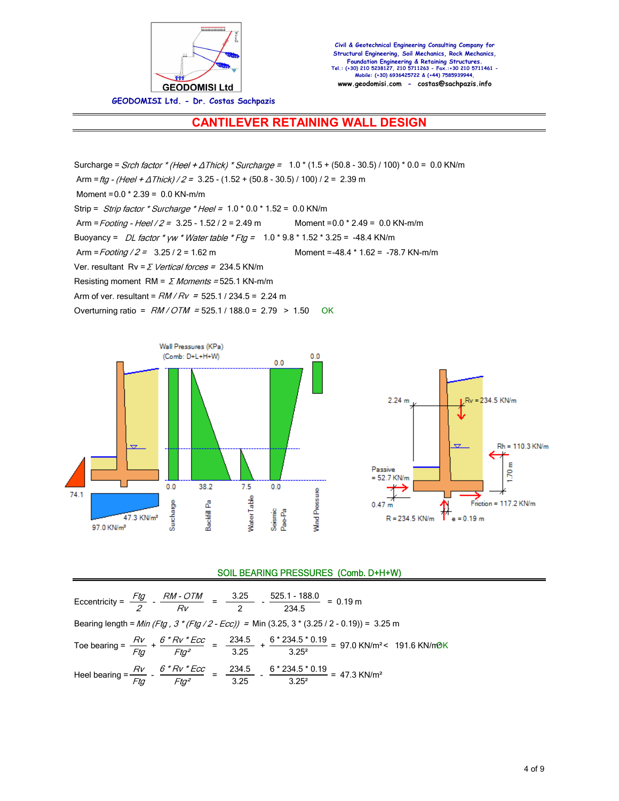

**GEODOMISI Ltd. - Dr. Costas Sachpazis**

## **CANTILEVER RETAINING WALL DESIGN**

Surcharge = Srch factor \* (Heel +  $\triangle Thick$ ) \* Surcharge =  $1.0$  \* (1.5 + (50.8 - 30.5) / 100) \* 0.0 = 0.0 KN/m Arm = ftg - (Heel +  $\triangle Thick$ ) / 2 = 3.25 - (1.52 + (50.8 - 30.5) / 100) / 2 = 2.39 m Moment =0.0 \* 2.39 = 0.0 KN-m/m Strip = Strip factor \* Surcharge \* Heel =  $1.0$  \*  $0.0$  \*  $1.52$  =  $0.0$  KN/m Arm =  $Footing - Heel / 2 = 3.25 - 1.52 / 2 = 2.49$  m Moment =  $0.0 * 2.49 = 0.0$  KN-m/m Buoyancy = DL factor \* yw \* Water table \* Ftg =  $1.0$  \* 9.8 \* 1.52 \* 3.25 = -48.4 KN/m Arm = Footing / 2 = 3.25 / 2 = 1.62 m Moment = -48.4 \* 1.62 = -78.7 KN-m/m Ver. resultant  $Rv = \Sigma$  Vertical forces = 234.5 KN/m Resisting moment RM =  $\Sigma$  Moments = 525.1 KN-m/m Arm of ver. resultant =  $RM/Rv = 525.1 / 234.5 = 2.24$  m Overturning ratio =  $RM/OTM$  = 525.1 / 188.0 = 2.79 > 1.50 OK





### SOIL BEARING PRESSURES (Comb. D+H+W)

Eccentricity =  $\frac{Ftg}{G}$  -  $\frac{RM \cdot OTM}{R}$  =  $\frac{3.25}{R}$ .<u>25</u> - <u>525.1 - 188.0</u><br>2 - 234.5  $\frac{11 \times 10000}{234.5}$  = 0.19 m Bearing length =  $Min$  (Ftg, 3 \* (Ftg / 2 - Ecc)) = Min (3.25, 3 \* (3.25 / 2 - 0.19)) = 3.25 m Toe bearing =  $\frac{RV}{R}$  +  $\frac{6*RV*Ecc}{R}$  =  $\frac{234.5}{R}$  $\frac{234.5}{3.25}$  +  $\frac{6 * 234.5 * 0.19}{3.25^2}$  $\frac{3.325^{2}}{2.25^{2}}$  = 97.0 KN/m<sup>2</sup> < 191.6 KN/m<sup>3</sup>K Heel bearing =  $\frac{RV}{R}$  -  $\frac{6*RV*Ecc}{R}$  =  $\frac{234.5}{R}$  $\frac{234.5}{3.25}$  -  $\frac{6 * 234.5 * 0.19}{3.25^2}$  $\frac{3.25^2}{3.25^2} = 47.3 \text{ KN/m}^2$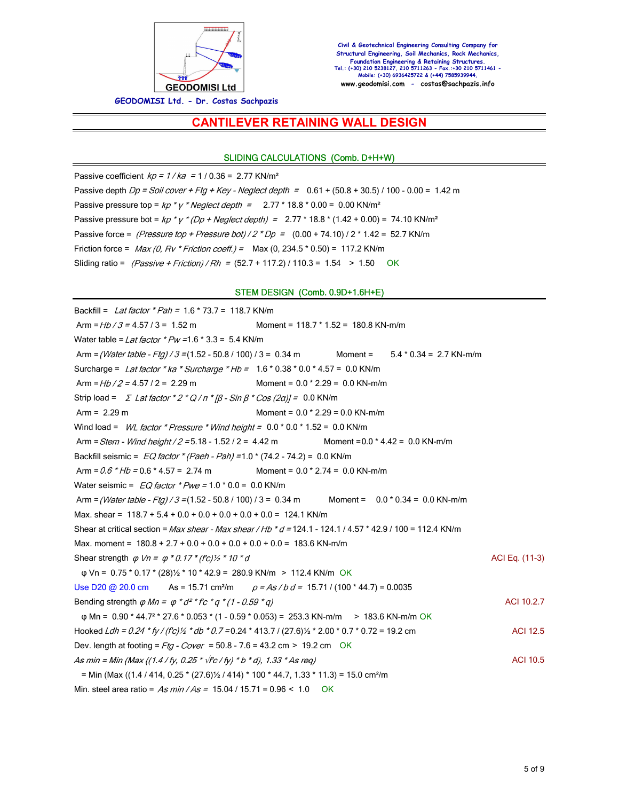

### **CANTILEVER RETAINING WALL DESIGN**

#### SLIDING CALCULATIONS (Comb. D+H+W)

Passive coefficient  $kp = 1 / ka = 1 / 0.36 = 2.77$  KN/m<sup>2</sup> Passive depth  $Dp = Soil cover + Fta + Key - Neglect depth = 0.61 + (50.8 + 30.5) / 100 - 0.00 = 1.42 m$ Passive pressure top =  $kp * y * Neglect depth = 2.77 * 18.8 * 0.00 = 0.00 KN/m<sup>2</sup>$ Passive pressure bot =  $kp * y * (Dp + Neglect depth) = 2.77 * 18.8 * (1.42 + 0.00) = 74.10 K N/m^2$ Passive force = (Pressure top + Pressure bot) /  $2 * Dp = (0.00 + 74.10)$  /  $2 * 1.42 = 52.7$  KN/m Friction force =  $Max (0, RV * Friction coeff.) = Max (0, 234.5 * 0.50) = 117.2 KN/m$ Sliding ratio =  $(Passive + Friction) / Rh = (52.7 + 117.2) / 110.3 = 1.54 > 1.50$  OK

#### STEM DESIGN (Comb. 0.9D+1.6H+E)

Backfill = Lat factor  $*$  Pah = 1.6  $*$  73.7 = 118.7 KN/m Arm =  $Hb/3$  = 4.57 / 3 = 1.52 m Moment = 118.7 \* 1.52 = 180.8 KN-m/m Water table = Lat factor  $*Pw = 1.6 * 3.3 = 5.4$  KN/m Arm = (Water table - Ftg) / 3 = (1.52 - 50.8 / 100) / 3 = 0.34 m Moment = 5.4 \* 0.34 = 2.7 KN-m/m Surcharge = Lat factor \* ka \* Surcharge \* Hb =  $1.6$  \* 0.38 \* 0.0 \* 4.57 = 0.0 KN/m Arm =  $Hb/2$  = 4.57 / 2 = 2.29 m Moment = 0.0 \* 2.29 = 0.0 KN-m/m Strip load =  $\sum$  Lat factor \* 2 \* Q /  $\pi$  \*  $\beta$  - Sin  $\beta$  \* Cos (2a)] = 0.0 KN/m Arm = 2.29 m Moment = 0.0 \* 2.29 = 0.0 KN-m/m Wind load =  $WL$  factor \* Pressure \* Wind height =  $0.0$  \*  $0.0$  \*  $1.52 = 0.0$  KN/m Arm =  $Stem$  - Wind height / 2 = 5.18 - 1.52 / 2 = 4.42 m Moment = 0.0 \* 4.42 = 0.0 KN-m/m Backfill seismic =  $EQ$  factor  $*(Paeh - Pah) = 1.0 * (74.2 - 74.2) = 0.0$  KN/m Arm =  $0.6$  \*  $Hb$  =  $0.6$  \*  $4.57$  =  $2.74$  m Moment =  $0.0$  \*  $2.74$  =  $0.0$  KN-m/m Water seismic =  $EQ$  factor  $*Pwe = 1.0 * 0.0 = 0.0$  KN/m Arm = (Water table - Ftg) / 3 = (1.52 - 50.8 / 100) / 3 = 0.34 m Moment =  $0.0 * 0.34 = 0.0$  KN-m/m Max. shear =  $118.7 + 5.4 + 0.0 + 0.0 + 0.0 + 0.0 + 0.0 = 124.1$  KN/m Shear at critical section = Max shear - Max shear / Hb \* d = 124.1 - 124.1 / 4.57 \* 42.9 / 100 = 112.4 KN/m Max. moment =  $180.8 + 2.7 + 0.0 + 0.0 + 0.0 + 0.0 + 0.0 = 183.6$  KN-m/m Shear strength  $\varphi Vn = \varphi * 0.17 * (f c)/\chi * 10 * d$ φ Vn = 0.75 \* 0.17 \* (28)½ \* 10 \* 42.9 = 280.9 KN/m > 112.4 KN/m OK Use D20 @ 20.0 cm As = 15.71 cm<sup>2</sup>/m  $\rho = As/b d = 15.71 / (100 * 44.7) = 0.0035$ Bending strength  $\varphi$  Mn =  $\varphi$  \*  $d^{2*}$  fc \*  $q$  \* (1 - 0.59 \* q) ACI 10.2.7 φ Mn = 0.90 \* 44.7° \* 27.6 \* 0.053 \* (1 - 0.59 \* 0.053) = 253.3 KN-m/m > 183.6 KN-m/m OK Hooked  $Ldh = 0.24 * fy / (fc)/2 * db * 0.7 = 0.24 * 413.7 / (27.6)/2 * 2.00 * 0.7 * 0.72 = 19.2$  cm ACI 12.5 Dev. length at footing =  $Fig - Cover = 50.8 - 7.6 = 43.2$  cm > 19.2 cm OK As min = Min (Max ((1.4 / fy, 0.25 \*  $\sqrt{r}$  / fy) \* b \* d), 1.33 \* As req) ACI 10.5  $=$  Min (Max ((1.4 / 414, 0.25  $*$  (27.6) $\frac{1}{2}$  / 414)  $*$  100  $*$  44.7, 1.33  $*$  11.3) = 15.0 cm<sup>2</sup>/m Min. steel area ratio =  $As min / As = 15.04 / 15.71 = 0.96 < 1.0$  OK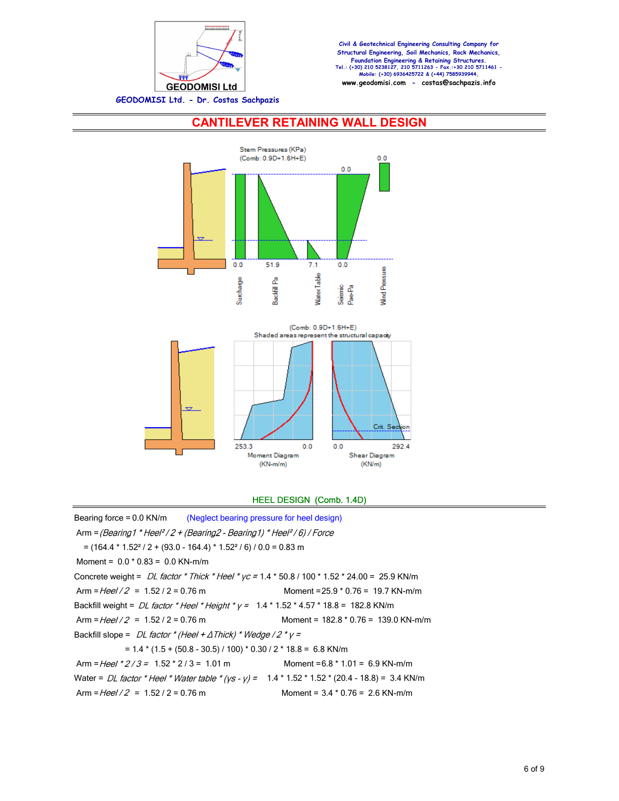

## **CANTILEVER RETAINING WALL DESIGN**



### HEEL DESIGN (Comb. 1.4D)

Bearing force = 0.0 KN/m (Neglect bearing pressure for heel design) Arm = (Bearing 1 \* Heel<sup>2</sup> / 2 + (Bearing 2 - Bearing 1) \* Heel<sup>2</sup> / 6) / Force  $=$  (164.4  $*$  1.52<sup>2</sup> / 2 + (93.0 - 164.4)  $*$  1.52<sup>2</sup> / 6) / 0.0 = 0.83 m Moment =  $0.0 * 0.83 = 0.0$  KN-m/m Concrete weight =  $DL$  factor \* Thick \* Heel \* yc = 1.4 \* 50.8 / 100 \* 1.52 \* 24.00 = 25.9 KN/m  $\text{Arm} = \frac{Hee}{2} = 1.52 / 2 = 0.76 \text{ m}$  Moment = 25.9 \* 0.76 = 19.7 KN-m/m Backfill weight =  $DL$  factor \* Heel \* Height \*  $y = 1.4$  \* 1.52 \* 4.57 \* 18.8 = 182.8 KN/m  $\text{Arm} = \frac{Hee}{2} = 1.52 / 2 = 0.76 \text{ m}$  Moment = 182.8 \* 0.76 = 139.0 KN-m/m Backfill slope =  $DL$  factor \* (Heel +  $\triangle Thick$ ) \* Wedge / 2 \*  $y =$  $= 1.4 * (1.5 + (50.8 - 30.5) / 100) * 0.30 / 2 * 18.8 = 6.8$  KN/m Arm =  $Heel$  \*  $2/3$  = 1.52 \*  $2/3$  = 1.01 m Moment = 6.8 \* 1.01 = 6.9 KN-m/m Water = DL factor \* Heel \* Water table \*  $(ys - y) = 1.4 * 1.52 * 1.52 * (20.4 - 18.8) = 3.4$  KN/m  $\text{Arm} = \frac{Hee}{2} = 1.52 / 2 = 0.76 \text{ m}$  Moment = 3.4 \* 0.76 = 2.6 KN-m/m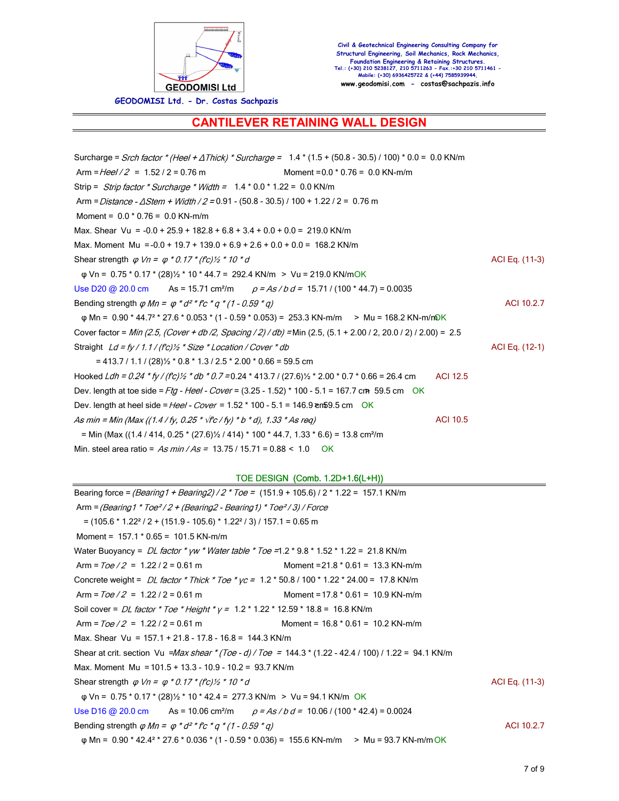

**GEODOMISI Ltd. - Dr. Costas Sachpazis**

## **CANTILEVER RETAINING WALL DESIGN**

Surcharge = Srch factor \* (Heel +  $\triangle Thick$ ) \* Surcharge =  $1.4$  \* (1.5 + (50.8 - 30.5) / 100) \* 0.0 = 0.0 KN/m Arm =  $Heel / 2 = 1.52 / 2 = 0.76$  m Moment =  $0.0 * 0.76 = 0.0$  KN-m/m Strip =  $Strip$  factor \* Surcharge \* Width =  $1.4$  \* 0.0 \* 1.22 = 0.0 KN/m Arm = Distance -  $\triangle$ Stem + Width / 2 = 0.91 - (50.8 - 30.5) / 100 + 1.22 / 2 = 0.76 m Moment = 0.0 \* 0.76 = 0.0 KN-m/m Max. Shear Vu =  $-0.0 + 25.9 + 182.8 + 6.8 + 3.4 + 0.0 + 0.0 = 219.0$  KN/m Max. Moment Mu = -0.0 + 19.7 + 139.0 + 6.9 + 2.6 + 0.0 + 0.0 = 168.2 KN/m Shear strength  $\varphi Vn = \varphi * 0.17 * (f c)/\chi * 10 * d$ φ Vn = 0.75 \* 0.17 \* (28)½ \* 10 \* 44.7 = 292.4 KN/m > Vu = 219.0 KN/mOK Use D20 @ 20.0 cm As = 15.71 cm<sup>2</sup>/m  $\rho = As/b d = 15.71 / (100 * 44.7) = 0.0035$ Bending strength  $\varphi$  Mn =  $\varphi$  \*  $d^2$  \* fc \*  $q$  \* (1 - 0.59 \* q) ACI 10.2.7 φ Mn = 0.90 \* 44.7° \* 27.6 \* 0.053 \* (1 - 0.59 \* 0.053) = 253.3 KN-m/m > Mu = 168.2 KN-m/n0K Cover factor = Min (2.5, (Cover + db/2, Spacing / 2) / db) = Min (2.5, (5.1 + 2.00 / 2, 20.0 / 2) / 2.00) = 2.5 Straight  $Ld = f\frac{V}{1.1}/f'cV'_{2} * Size * Location / Cover * db$  (12-1)  $= 413.7 / 1.1 / (28)$ % \* 0.8 \* 1.3 / 2.5 \* 2.00 \* 0.66 = 59.5 cm Hooked Ldh =  $0.24$  \* fy / (fc)  $\frac{1}{2}$  \* db \* 0.7 = 0.24 \* 413.7 / (27.6)  $\frac{1}{2}$  \* 2.00 \* 0.7 \* 0.66 = 26.4 cm ACI 12.5 Dev. length at toe side =  $Ftg - Heel - Cover = (3.25 - 1.52) * 100 - 5.1 = 167.7$  cm 59.5 cm OK Dev. length at heel side = Heel - Cover =  $1.52 * 100 - 5.1 = 146.9$  en 59.5 cm OK As min = Min (Max ((1.4 / fy, 0.25 \*  $\sqrt{r}$  / fy) \* b \* d), 1.33 \* As req) ACI 10.5  $=$  Min (Max ((1.4 / 414, 0.25  $*(27.6)\frac{1}{2}$  / 414)  $*$  100  $*$  44.7, 1.33  $*$  6.6) = 13.8 cm<sup>2</sup>/m Min. steel area ratio =  $As min / As = 13.75 / 15.71 = 0.88 < 1.0$  OK

TOE DESIGN (Comb. 1.2D+1.6(L+H))

| Bearing force = <i>(Bearing1 + Bearing2) / 2 * Toe =</i> (151.9 + 105.6) / 2 * 1.22 = 157.1 KN/m                 |                                      |                |
|------------------------------------------------------------------------------------------------------------------|--------------------------------------|----------------|
| Arm = (Bearing 1 $*$ Toe <sup>2</sup> /2 + (Bearing 2 - Bearing 1) $*$ Toe <sup>2</sup> /3) / Force              |                                      |                |
| $=$ (105.6 $*$ 1.22 <sup>2</sup> / 2 + (151.9 - 105.6) $*$ 1.22 <sup>2</sup> / 3) / 157.1 = 0.65 m               |                                      |                |
| Moment = $157.1 * 0.65 = 101.5$ KN-m/m                                                                           |                                      |                |
| Water Buoyancy = DL factor * yw * Water table * Toe = 1.2 * 9.8 * 1.52 * 1.22 = 21.8 KN/m                        |                                      |                |
| Arm = $\frac{70e}{2}$ = 1.22 / 2 = 0.61 m                                                                        | Moment = $21.8 * 0.61 = 13.3$ KN-m/m |                |
| Concrete weight = $DL$ factor * Thick * Toe * $yc = 1.2$ * 50.8 / 100 * 1.22 * 24.00 = 17.8 KN/m                 |                                      |                |
| Arm = $\frac{7}{e^2}$ = 1.22 / 2 = 0.61 m                                                                        | Moment = $17.8 * 0.61 = 10.9$ KN-m/m |                |
| Soil cover = <i>DL factor * Toe * Height * y =</i> 1.2 * 1.22 * 12.59 * 18.8 = 16.8 KN/m                         |                                      |                |
| Arm = $Toe/2 = 1.22/2 = 0.61$ m                                                                                  | Moment = $16.8 * 0.61 = 10.2$ KN-m/m |                |
| Max. Shear Vu = $157.1 + 21.8 - 17.8 - 16.8 = 144.3$ KN/m                                                        |                                      |                |
| Shear at crit. section Vu = Max shear * (Toe - d) / Toe = 144.3 * (1.22 - 42.4 / 100) / 1.22 = 94.1 KN/m         |                                      |                |
| Max. Moment Mu = $101.5 + 13.3 - 10.9 - 10.2 = 93.7$ KN/m                                                        |                                      |                |
| Shear strength $\varphi$ Vn = $\varphi$ * 0.17 * (f'c) 1/2 * 10 * d                                              |                                      | ACI Eq. (11-3) |
| $\varphi$ Vn = 0.75 $*$ 0.17 $*$ (28) $\frac{1}{2}$ $*$ 10 $*$ 42.4 = 277.3 KN/m > Vu = 94.1 KN/m OK             |                                      |                |
| Use D16 @ 20.0 cm As = 10.06 cm <sup>2</sup> /m $\rho = As/b d = 10.06 / (100 * 42.4) = 0.0024$                  |                                      |                |
| Bending strength $\varphi$ <i>Mn</i> = $\varphi$ * $d^2$ * $f$ <i>c</i> * $q$ * $(1 - 0.59 \cdot q)$             |                                      | ACI 10.2.7     |
| $\varphi$ Mn = 0.90 * 42.4 <sup>2</sup> * 27.6 * 0.036 * (1 - 0.59 * 0.036) = 155.6 KN-m/m > Mu = 93.7 KN-m/m OK |                                      |                |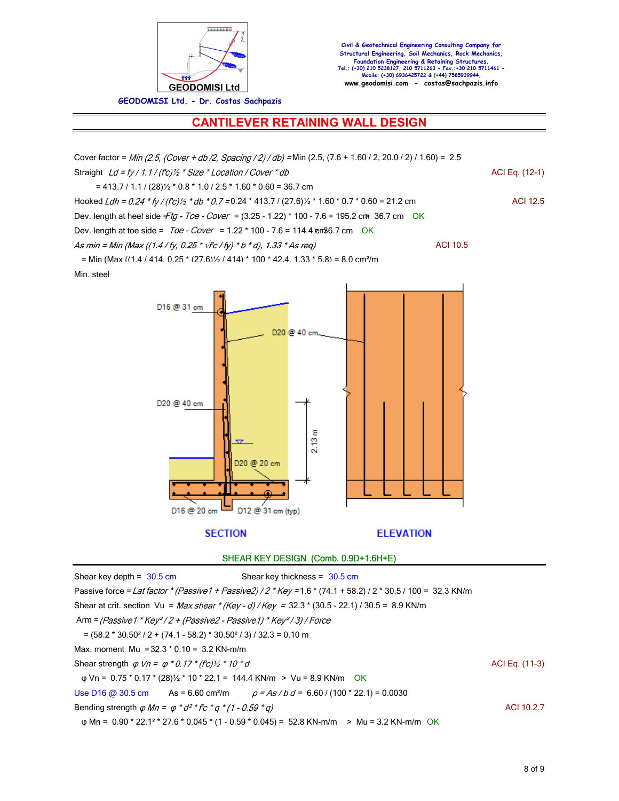

# **CANTILEVER RETAINING WALL DESIGN**

| Cover factor = Min (2.5, (Cover + db /2, Spacing / 2) / db) = Min (2.5, (7.6 + 1.60 / 2, 20.0 / 2) / 1.60) = 2.5           |                  |
|----------------------------------------------------------------------------------------------------------------------------|------------------|
| Straight $Ld = fy / 1.1 / (fc)/2 * Size * Location / Cover * db$                                                           | ACI Eq. (12-1)   |
| $= 413.7 / 1.1 / (28)$ <sup>'</sup> / <sub>2</sub> * 0.8 * 1.0 / 2.5 * 1.60 * 0.60 = 36.7 cm                               |                  |
| Hooked Ldh = 0.24 * fy / (fc) $\frac{1}{2}$ * db * 0.7 = 0.24 * 413.7 / (27.6) $\frac{1}{2}$ * 1.60 * 0.7 * 0.60 = 21.2 cm | <b>ACI 12.5</b>  |
| Dev. length at heel side Ftg - Toe - Cover = (3.25 - 1.22) * 100 - 7.6 = 195.2 cm 36.7 cm OK                               |                  |
| Dev. length at toe side = $Toe - Cover = 1.22 * 100 - 7.6 = 114.4$ en 36.7 cm OK                                           |                  |
| As min = Min (Max ((1.4 / fy, 0.25 * $\sqrt{r}c$ / fy) * b * d), 1.33 * As req)                                            | <b>ACI 10.5</b>  |
| = Min (Max ((1.4 / 414, 0.25 * (27.6) 1/2 / 414) * 100 * 42.4, 1.33 * 5.8) = 8.0 cm <sup>2</sup> /m                        |                  |
| Min. steel                                                                                                                 |                  |
| D16 @ 31 cm<br>D20 @ 40 cn<br>D20 @ 40 cm<br>2.13 m<br>D20 @ 20 cm                                                         |                  |
| D16 @ 20 cm<br>$\Box$ D12 @ 31 cm (typ)                                                                                    |                  |
| <b>SECTION</b>                                                                                                             | <b>ELEVATION</b> |
| SHEAR KEY DESIGN (Comb. 0.9D+1.6H+E)                                                                                       |                  |
| Shear key depth = $30.5$ cm<br>Shear key thickness = $30.5$ cm                                                             |                  |
| Passive force = Lat factor * (Passive1 + Passive2) / 2 * Key = 1.6 * (74.1 + 58.2) / 2 * 30.5 / 100 = 32.3 KN/m            |                  |
| Shear at crit. section Vu = Max shear * (Key - d) / Key = 32.3 * (30.5 - 22.1) / 30.5 = 8.9 KN/m                           |                  |
| Arm = (Passive1 * Key <sup>2</sup> /2 + (Passive2 - Passive1) * Key <sup>2</sup> /3) / Force                               |                  |
| $=$ (58.2 $*$ 30.50 <sup>2</sup> / 2 + (74.1 - 58.2) $*$ 30.50 <sup>2</sup> / 3) / 32.3 = 0.10 m                           |                  |
| Max. moment Mu = $32.3 * 0.10 = 3.2$ KN-m/m                                                                                |                  |
| Shear strength $\varphi$ Vn = $\varphi$ * 0.17 * (fc) 1/2 * 10 * d                                                         | ACI Eq. (11-3)   |
| $\varphi$ Vn = 0.75 $*$ 0.17 $*$ (28) $\frac{1}{2}$ $*$ 10 $*$ 22.1 = 144.4 KN/m > Vu = 8.9 KN/m<br><b>OK</b>              |                  |
| Use D16 @ 30.5 cm<br>$As = 6.60 \text{ cm}^2/m$<br>$\rho$ = As / b d = 6.60 / (100 * 22.1) = 0.0030                        |                  |

Bending strength  $\varphi$  Mn =  $\varphi$  \*  $d^{2*}$  fc \*  $q$  \* (1 - 0.59 \* q)

φ Mn = 0.90 \* 22.1° \* 27.6 \* 0.045 \* (1 - 0.59 \* 0.045) = 52.8 KN-m/m > Mu = 3.2 KN-m/m OK

ACI 10.2.7